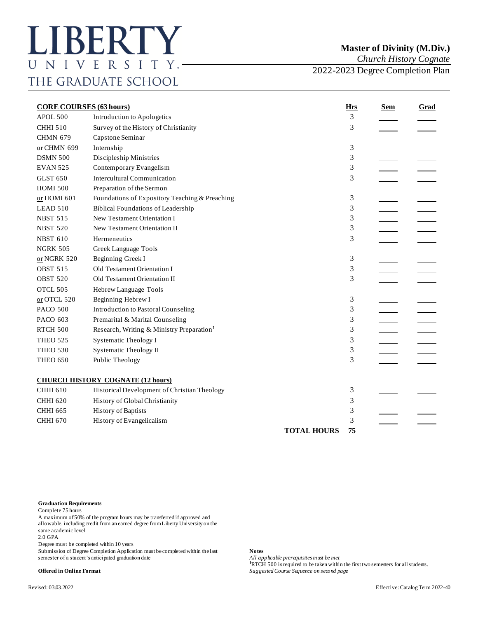*Church History Cognate*

2022-2023 Degree Completion Plan

| <b>CORE COURSES (63 hours)</b> |                                                       | <b>Hrs</b>         | <u>Sem</u> | <b>Grad</b> |  |
|--------------------------------|-------------------------------------------------------|--------------------|------------|-------------|--|
| APOL 500                       | Introduction to Apologetics                           |                    | 3          |             |  |
| <b>CHHI 510</b>                | Survey of the History of Christianity                 |                    | 3          |             |  |
| <b>CHMN 679</b>                | Capstone Seminar                                      |                    |            |             |  |
| or CHMN 699                    | Internship                                            |                    | 3          |             |  |
| <b>DSMN 500</b>                | Discipleship Ministries                               |                    | 3          |             |  |
| <b>EVAN 525</b>                | Contemporary Evangelism                               |                    | 3          |             |  |
| <b>GLST 650</b>                | <b>Intercultural Communication</b>                    |                    | 3          |             |  |
| <b>HOMI 500</b>                | Preparation of the Sermon                             |                    |            |             |  |
| or HOMI 601                    | Foundations of Expository Teaching & Preaching        |                    | 3          |             |  |
| LEAD 510                       | <b>Biblical Foundations of Leadership</b>             |                    | 3          |             |  |
| <b>NBST 515</b>                | New Testament Orientation I                           |                    | 3          |             |  |
| <b>NBST 520</b>                | New Testament Orientation II                          |                    | 3          |             |  |
| <b>NBST 610</b>                | Hermeneutics                                          |                    | 3          |             |  |
| <b>NGRK 505</b>                | Greek Language Tools                                  |                    |            |             |  |
| or NGRK 520                    | Beginning Greek I                                     |                    | 3          |             |  |
| <b>OBST 515</b>                | Old Testament Orientation I                           |                    | 3          |             |  |
| <b>OBST 520</b>                | Old Testament Orientation II                          |                    | 3          |             |  |
| OTCL 505                       | Hebrew Language Tools                                 |                    |            |             |  |
| $or$ OTCL 520                  | Beginning Hebrew I                                    |                    | 3          |             |  |
| <b>PACO 500</b>                | Introduction to Pastoral Counseling                   |                    | 3          |             |  |
| PACO 603                       | Premarital & Marital Counseling                       |                    | 3          |             |  |
| RTCH 500                       | Research, Writing & Ministry Preparation <sup>1</sup> |                    | 3          |             |  |
| <b>THEO 525</b>                | <b>Systematic Theology I</b>                          |                    | 3          |             |  |
| <b>THEO 530</b>                | <b>Systematic Theology II</b>                         |                    | 3          |             |  |
| <b>THEO 650</b>                | Public Theology                                       |                    | 3          |             |  |
|                                | <b>CHURCH HISTORY COGNATE (12 hours)</b>              |                    |            |             |  |
| <b>CHHI 610</b>                | Historical Development of Christian Theology          |                    | 3          |             |  |
| <b>CHHI 620</b>                | History of Global Christianity                        |                    | 3          |             |  |
| <b>CHHI 665</b>                | <b>History of Baptists</b>                            |                    | 3          |             |  |
| <b>CHHI 670</b>                | History of Evangelicalism                             |                    | 3          |             |  |
|                                |                                                       | <b>TOTAL HOURS</b> | 75         |             |  |
|                                |                                                       |                    |            |             |  |

## **Graduation Requirements**

Complete 75 hours

A maximum of 50% of the program hours may be transferred if approved and allowable, including credit from an earned degree from Liberty University on the same academic level

2.0 GPA

Degree must be completed within 10 years

Submission of Degree Completion Application must be completed within the last **Notes** semester of a student's anticipated graduation date

All applicable prerequisites must be met **hand in the first two semesters for all students. <sup>1</sup>RTCH 500** is required to be taken within the first two semesters for all students. **Offered in Online Format** *Suggested Course Sequence on second page*